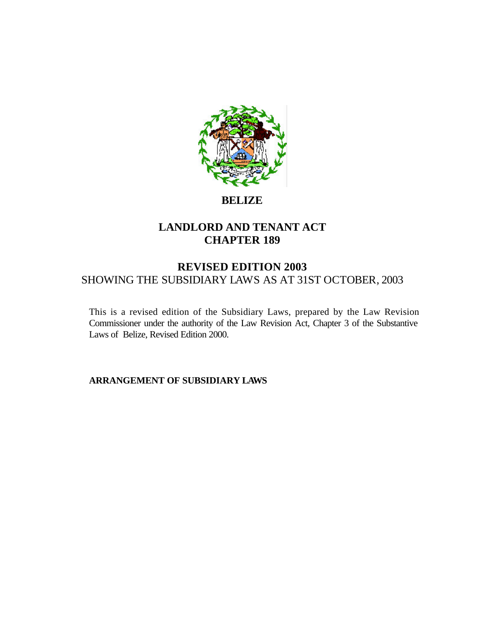

# **BELIZE**

# **LANDLORD AND TENANT ACT CHAPTER 189**

# **REVISED EDITION 2003** SHOWING THE SUBSIDIARY LAWS AS AT 31ST OCTOBER, 2003

This is a revised edition of the Subsidiary Laws, prepared by the Law Revision Commissioner under the authority of the Law Revision Act, Chapter 3 of the Substantive Laws of Belize, Revised Edition 2000.

**ARRANGEMENT OF SUBSIDIARY LAWS**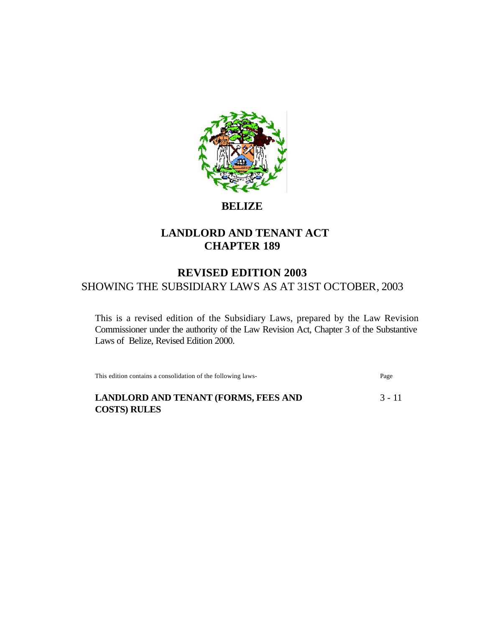

**BELIZE**

# **LANDLORD AND TENANT ACT CHAPTER 189**

# **REVISED EDITION 2003** SHOWING THE SUBSIDIARY LAWS AS AT 31ST OCTOBER, 2003

This is a revised edition of the Subsidiary Laws, prepared by the Law Revision Commissioner under the authority of the Law Revision Act, Chapter 3 of the Substantive Laws of Belize, Revised Edition 2000.

This edition contains a consolidation of the following laws- Page

**LANDLORD AND TENANT (FORMS, FEES AND 3 - 11) COSTS) RULES**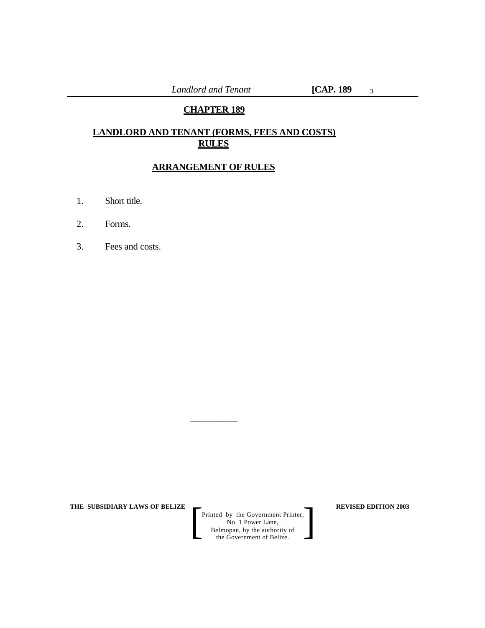# **CHAPTER 189**

# **LANDLORD AND TENANT (FORMS, FEES AND COSTS) RULES**

# **ARRANGEMENT OF RULES**

\_\_\_\_\_\_\_\_\_\_

- 1. Short title.
- 2. Forms.
- 3. Fees and costs.

**THE SUBSIDIARY LAWS OF BELIZE REVISED EDITION 2003**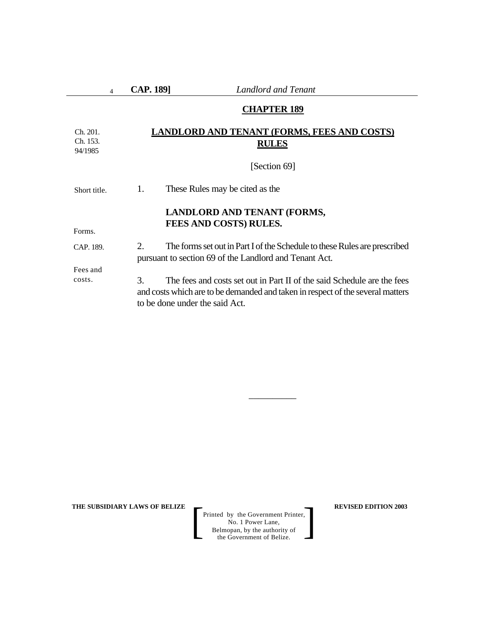**CAP. 189]** *Landlord and Tenant*

### **CHAPTER 189**

#### **LANDLORD AND TENANT (FORMS, FEES AND COSTS) RULES** Ch. 201. Ch. 153. 94/1985

[Section 69]

1. These Rules may be cited as the Short title.

### **LANDLORD AND TENANT (FORMS, FEES AND COSTS) RULES.**

Forms.

Fees and costs.

2. The forms set out in Part I of the Schedule to these Rules are prescribed pursuant to section 69 of the Landlord and Tenant Act. CAP. 189.

> 3. The fees and costs set out in Part II of the said Schedule are the fees and costs which are to be demanded and taken in respect of the several matters to be done under the said Act.

> > \_\_\_\_\_\_\_\_\_\_

**THE SUBSIDIARY LAWS OF BELIZE**  $\qquad$  **REVISED EDITION 2003**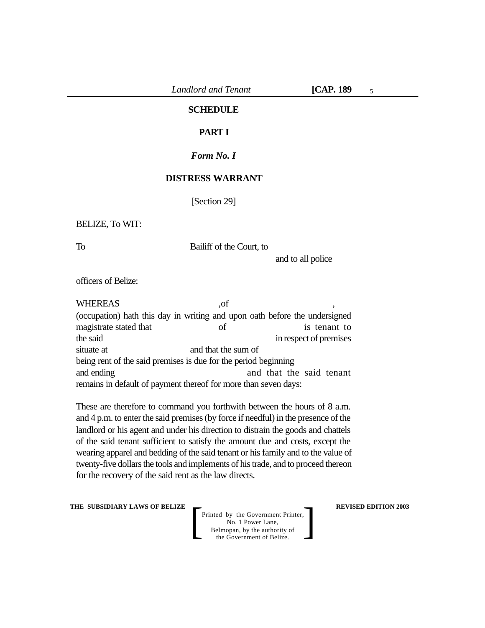### **SCHEDULE**

### **PART I**

#### *Form No. I*

### **DISTRESS WARRANT**

[Section 29]

#### BELIZE, To WIT:

To Bailiff of the Court, to

and to all police

officers of Belize:

WHEREAS .of (occupation) hath this day in writing and upon oath before the undersigned magistrate stated that of is tenant to the said in respect of premises situate at and that the sum of being rent of the said premises is due for the period beginning and ending and that the said tenant remains in default of payment thereof for more than seven days:

These are therefore to command you forthwith between the hours of 8 a.m. and 4 p.m. to enter the said premises (by force if needful) in the presence of the landlord or his agent and under his direction to distrain the goods and chattels of the said tenant sufficient to satisfy the amount due and costs, except the wearing apparel and bedding of the said tenant or his family and to the value of twenty-five dollars the tools and implements of his trade, and to proceed thereon for the recovery of the said rent as the law directs.

**THE SUBSIDIARY LAWS OF BELIZE**  $\qquad$  **REVISED EDITION 2003**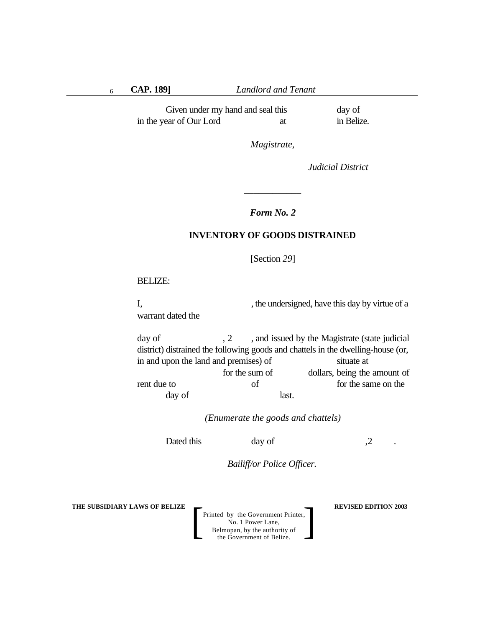**CAP. 189]** *Landlord and Tenant*

Given under my hand and seal this day of in the year of Our Lord at in Belize.

*Magistrate,*

*Judicial District*

## *Form No. 2*

*\_\_\_\_\_\_\_\_\_\_\_\_*

# **INVENTORY OF GOODS DISTRAINED**

[Section *29*]

#### BELIZE:

I, the undersigned, have this day by virtue of a warrant dated the

day of  $, 2, 3$ , and issued by the Magistrate (state judicial district) distrained the following goods and chattels in the dwelling-house (or, in and upon the land and premises) of situate at for the sum of dollars, being the amount of rent due to form the same on the same on the same on the same on the same on the same on the same on the same on the same on the same on the same on the same on the same on the same on the same on the same on the same on t day of last.

*(Enumerate the goods and chattels)*

Dated this day of 2.

*Bailiff/or Police Officer.*

**THE SUBSIDIARY LAWS OF BELIZE**  $\qquad$  **REVISED EDITION 2003**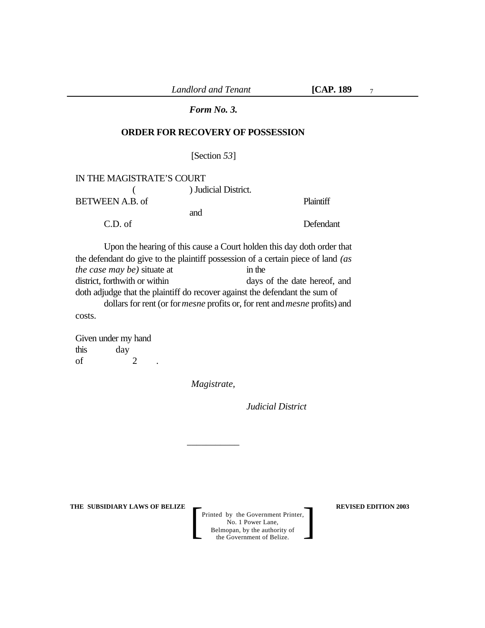### *Form No. 3.*

# **ORDER FOR RECOVERY OF POSSESSION**

[Section *53*]

| IN THE MAGISTRATE'S COURT |                      |                  |
|---------------------------|----------------------|------------------|
|                           | ) Judicial District. |                  |
| BETWEEN A.B. of           |                      | <b>Plaintiff</b> |
|                           | and                  |                  |
| $C.D.$ of                 |                      | Defendant        |

Upon the hearing of this cause a Court holden this day doth order that the defendant do give to the plaintiff possession of a certain piece of land *(as the case may be)* situate at in the district, forthwith or within days of the date hereof, and doth adjudge that the plaintiff do recover against the defendant the sum of dollars for rent (or for *mesne* profits or, for rent and *mesne* profits) and costs.

Given under my hand this day of  $2$  .

*Magistrate,*

\_\_\_\_\_\_\_\_\_\_\_

*Judicial District*

**THE SUBSIDIARY LAWS OF BELIZE**  $\qquad$  **REVISED EDITION 2003**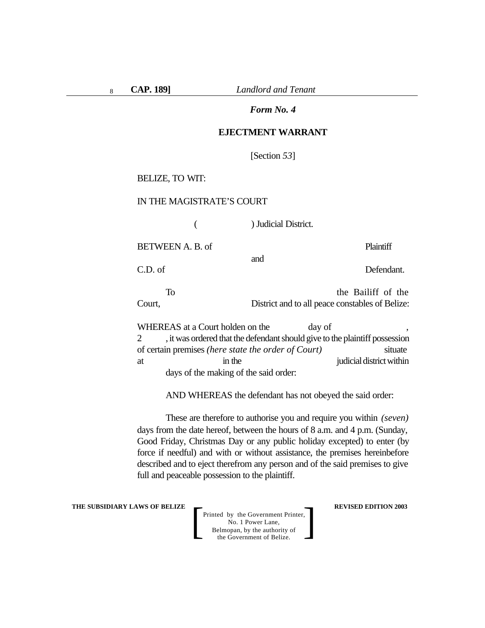**CAP. 189]** *Landlord and Tenant*

#### *Form No. 4*

#### **EJECTMENT WARRANT**

[Section *53*]

BELIZE, TO WIT:

#### IN THE MAGISTRATE'S COURT

( ) Judicial District.

BETWEEN A. B. of Plaintiff

C.D. of Defendant.

To the Bailiff of the Court, District and to all peace constables of Belize:

and

WHEREAS at a Court holden on the day of 2 , it was ordered that the defendant should give to the plaintiff possession of certain premises *(here state the order of Court)* situate at in the interval in the interval at a structure in the interval interval in the interval in the interval interval in the interval interval in the interval interval in the interval interval in the interval interval in the days of the making of the said order:

AND WHEREAS the defendant has not obeyed the said order:

These are therefore to authorise you and require you within *(seven)* days from the date hereof, between the hours of 8 a.m. and 4 p.m. (Sunday, Good Friday, Christmas Day or any public holiday excepted) to enter (by force if needful) and with or without assistance, the premises hereinbefore described and to eject therefrom any person and of the said premises to give full and peaceable possession to the plaintiff.

**THE SUBSIDIARY LAWS OF BELIZE**  $\qquad$  **REVISED EDITION 2003**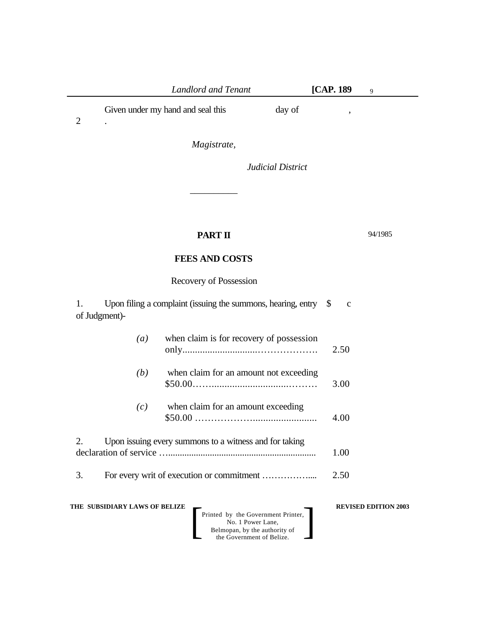| Landlord and Tenant               |        | <b>[CAP. 189</b> |  |
|-----------------------------------|--------|------------------|--|
| Given under my hand and seal this | day of |                  |  |

*Magistrate,*

*\_\_\_\_\_\_\_\_\_\_*

*Judicial District*

# **PART II**

94/1985

# **FEES AND COSTS**

Recovery of Possession

1. Upon filing a complaint (issuing the summons, hearing, entry \$ c of Judgment)-

| $\left( a\right)$ | when claim is for recovery of possession | 2.50 |
|-------------------|------------------------------------------|------|
| (b)               | when claim for an amount not exceeding   | 3.00 |

*(c)* when claim for an amount exceeding \$50.00 ………………......................... 4.00

2. Upon issuing every summons to a witness and for taking declaration of service …................................................................ 1.00

3. For every writ of execution or commitment …………….... 2.50

**THE SUBSIDIARY LAWS OF BELIZE REVISED EDITION 2003**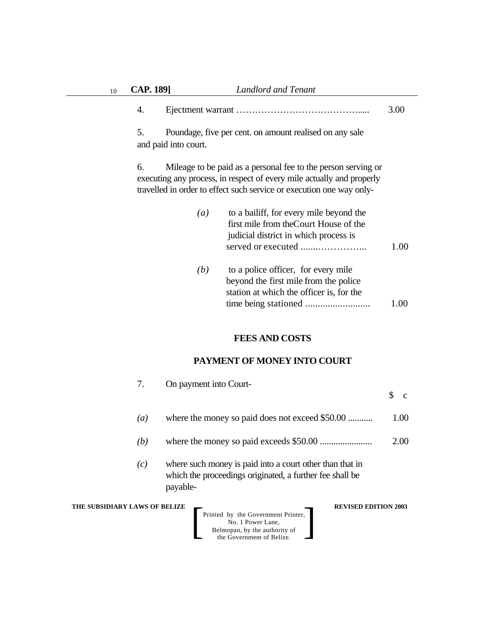### 4. Ejectment warrant …………………………………..... 3.00

5. Poundage, five per cent. on amount realised on any sale and paid into court.

6. Mileage to be paid as a personal fee to the person serving or executing any process, in respect of every mile actually and properly travelled in order to effect such service or execution one way only-

| $\left( a\right)$ | to a bailiff, for every mile beyond the |      |
|-------------------|-----------------------------------------|------|
|                   | first mile from the Court House of the  |      |
|                   | judicial district in which process is   | 1.00 |
| (b)               | to a police officer, for every mile     |      |

| U | to a police officer, for every time      |      |
|---|------------------------------------------|------|
|   | beyond the first mile from the police    |      |
|   | station at which the officer is, for the |      |
|   |                                          | 1.00 |
|   |                                          |      |

# **FEES AND COSTS**

# **PAYMENT OF MONEY INTO COURT**

|                  | On payment into Court-                                                                                                                                                        |      |
|------------------|-------------------------------------------------------------------------------------------------------------------------------------------------------------------------------|------|
|                  |                                                                                                                                                                               |      |
| $\left(a\right)$ | where the money so paid does not exceed \$50.00                                                                                                                               | 1.00 |
| (b)              |                                                                                                                                                                               | 2.00 |
| (c)              | where such money is paid into a court other than that in<br>which the proceedings originated, a further fee shall be<br>payable-                                              |      |
|                  | <b>LAWS OF BELIZE</b><br><b>REVISED EDITION 2003</b><br>Printed by the Government Printer,<br>No. 1 Power Lane,<br>Belmopan, by the authority of<br>the Government of Belize. |      |

**THE SUBSIDIARY**